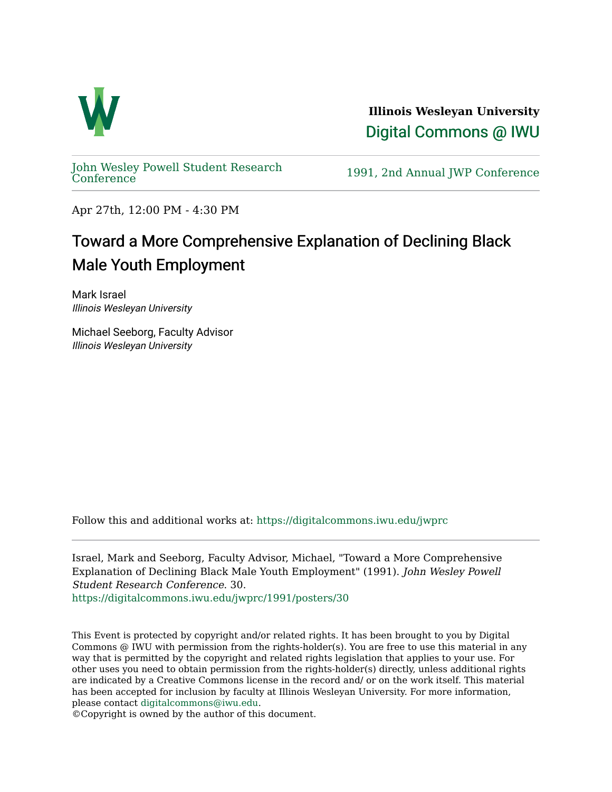

**Illinois Wesleyan University**  [Digital Commons @ IWU](https://digitalcommons.iwu.edu/) 

[John Wesley Powell Student Research](https://digitalcommons.iwu.edu/jwprc) 

1991, 2nd Annual JWP [Conference](https://digitalcommons.iwu.edu/jwprc)

Apr 27th, 12:00 PM - 4:30 PM

## Toward a More Comprehensive Explanation of Declining Black Male Youth Employment

Mark Israel Illinois Wesleyan University

Michael Seeborg, Faculty Advisor Illinois Wesleyan University

Follow this and additional works at: [https://digitalcommons.iwu.edu/jwprc](https://digitalcommons.iwu.edu/jwprc?utm_source=digitalcommons.iwu.edu%2Fjwprc%2F1991%2Fposters%2F30&utm_medium=PDF&utm_campaign=PDFCoverPages) 

Israel, Mark and Seeborg, Faculty Advisor, Michael, "Toward a More Comprehensive Explanation of Declining Black Male Youth Employment" (1991). John Wesley Powell Student Research Conference. 30. [https://digitalcommons.iwu.edu/jwprc/1991/posters/30](https://digitalcommons.iwu.edu/jwprc/1991/posters/30?utm_source=digitalcommons.iwu.edu%2Fjwprc%2F1991%2Fposters%2F30&utm_medium=PDF&utm_campaign=PDFCoverPages)

This Event is protected by copyright and/or related rights. It has been brought to you by Digital Commons @ IWU with permission from the rights-holder(s). You are free to use this material in any way that is permitted by the copyright and related rights legislation that applies to your use. For other uses you need to obtain permission from the rights-holder(s) directly, unless additional rights are indicated by a Creative Commons license in the record and/ or on the work itself. This material has been accepted for inclusion by faculty at Illinois Wesleyan University. For more information, please contact [digitalcommons@iwu.edu.](mailto:digitalcommons@iwu.edu)

©Copyright is owned by the author of this document.